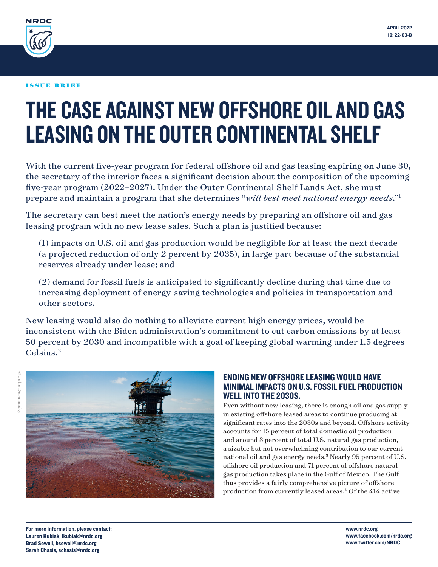<span id="page-0-0"></span>

# THE CASE AGAINST NEW OFFSHORE OIL AND GAS LEASING ON THE OUTER CONTINENTAL SHELF

With the current five-year program for federal offshore oil and gas leasing expiring on June 30, the secretary of the interior faces a significant decision about the composition of the upcoming five-year program (2022–2027). Under the Outer Continental Shelf Lands Act, she must prepare and maintain a program that she determines "*will best meet national energy needs*."[1](#page-4-0)

The secretary can best meet the nation's energy needs by preparing an offshore oil and gas leasing program with no new lease sales. Such a plan is justified because:

 (1) impacts on U.S. oil and gas production would be negligible for at least the next decade (a projected reduction of only 2 percent by 2035), in large part because of the substantial reserves already under lease; and

 (2) demand for fossil fuels is anticipated to significantly decline during that time due to increasing deployment of energy-saving technologies and policies in transportation and other sectors.

New leasing would also do nothing to alleviate current high energy prices, would be inconsistent with the Biden administration's commitment to cut carbon emissions by at least 50 percent by 2030 and incompatible with a goal of keeping global warming under 1.5 degrees Celsius.[2](#page-4-0)



## ENDING NEW OFFSHORE LEASING WOULD HAVE MINIMAL IMPACTS ON U.S. FOSSIL FUEL PRODUCTION WELL INTO THE 2030S.

Even without new leasing, there is enough oil and gas supply in existing offshore leased areas to continue producing at significant rates into the 2030s and beyond. Offshore activity accounts for 15 percent of total domestic oil production and around 3 percent of total U.S. natural gas production, a sizable but not overwhelming contribution to our current national oil and gas energy needs.<sup>[3](#page-4-0)</sup> Nearly 95 percent of U.S. offshore oil production and 71 percent of offshore natural gas production takes place in the Gulf of Mexico. The Gulf thus provides a fairly comprehensive picture of offshore production from currently leased areas.<sup>[4](#page-4-0)</sup> Of the 414 active

For more information, please contact: Lauren Kubiak, lkubiak@nrdc.org Brad Sewell, bsewell@nrdc.org Sarah Chasis, schasis@nrdc.org

www.nrdc.org www.facebook.com/nrdc.org www.twitter.com/NRDC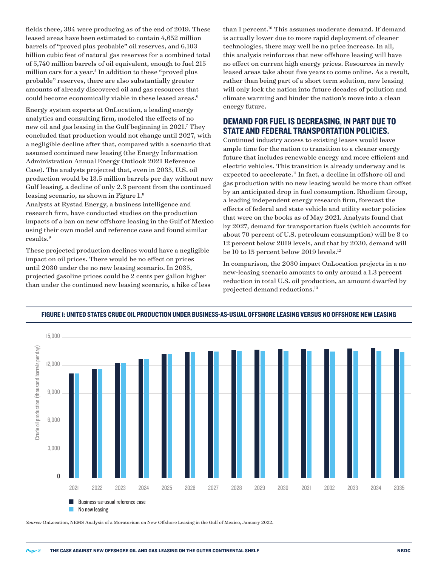<span id="page-1-0"></span>fields there, 384 were producing as of the end of 2019. These leased areas have been estimated to contain 4,652 million barrels of "proved plus probable" oil reserves, and 6,103 billion cubic feet of natural gas reserves for a combined total of 5,740 million barrels of oil equivalent, enough to fuel 215 million cars for a year.<sup>5</sup> In addition to these "proved plus probable" reserves, there are also substantially greater amounts of already discovered oil and gas resources that could become economically viable in these leased areas.<sup>6</sup>

Energy system experts at OnLocation, a leading energy analytics and consulting firm, modeled the effects of no new oil and gas leasing in the Gulf beginning in 2021[.7](#page-4-0) They concluded that production would not change until 2027, with a negligible decline after that, compared with a scenario that assumed continued new leasing (the Energy Information Administration Annual Energy Outlook 2021 Reference Case). The analysts projected that, even in 2035, U.S. oil production would be 13.5 million barrels per day without new Gulf leasing, a decline of only 2.3 percent from the continued leasing scenario, as shown in Figure 1.[8](#page-4-0)

Analysts at Rystad Energy, a business intelligence and research firm, have conducted studies on the production impacts of a ban on new offshore leasing in the Gulf of Mexico using their own model and reference case and found similar results[.9](#page-4-0)

These projected production declines would have a negligible impact on oil prices. There would be no effect on prices until 2030 under the no new leasing scenario. In 2035, projected gasoline prices could be 2 cents per gallon higher than under the continued new leasing scenario, a hike of less than 1 percent.<sup>10</sup> This assumes moderate demand. If demand is actually lower due to more rapid deployment of cleaner technologies, there may well be no price increase. In all, this analysis reinforces that new offshore leasing will have no effect on current high energy prices. Resources in newly leased areas take about five years to come online. As a result, rather than being part of a short term solution, new leasing will only lock the nation into future decades of pollution and climate warming and hinder the nation's move into a clean energy future.

## DEMAND FOR FUEL IS DECREASING, IN PART DUE TO STATE AND FEDERAL TRANSPORTATION POLICIES.

Continued industry access to existing leases would leave ample time for the nation to transition to a cleaner energy future that includes renewable energy and more efficient and electric vehicles. This transition is already underway and is expected to accelerate.[11](#page-4-0) In fact, a decline in offshore oil and gas production with no new leasing would be more than offset by an anticipated drop in fuel consumption. Rhodium Group, a leading independent energy research firm, forecast the effects of federal and state vehicle and utility sector policies that were on the books as of May 2021. Analysts found that by 2027, demand for transportation fuels (which accounts for about 70 percent of U.S. petroleum consumption) will be 8 to 12 percent below 2019 levels, and that by 2030, demand will be 10 to 15 percent below 2019 levels.<sup>[12](#page-4-0)</sup>

In comparison, the 2030 impact OnLocation projects in a nonew-leasing scenario amounts to only around a 1.3 percent reduction in total U.S. oil production, an amount dwarfed by projected demand reductions.<sup>13</sup><br>projected demand reductions.<sup>13</sup>



#### FIGURE 1: UNITED STATES CRUDE OIL PRODUCTION UNDER BUSINESS-AS-USUAL OFFSHORE LEASING VERSUS NO OFFSHORE NEW LEASING

*Source:* OnLocation, NEMS Analysis of a Moratorium on New Offshore Leasing in the Gulf of Mexico, January 2022.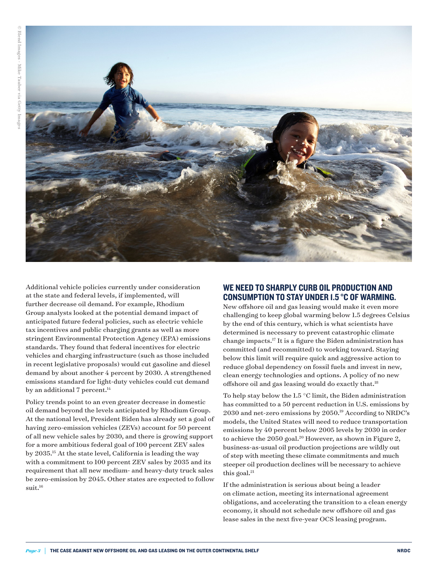<span id="page-2-0"></span>

Additional vehicle policies currently under consideration at the state and federal levels, if implemented, will further decrease oil demand. For example, Rhodium Group analysts looked at the potential demand impact of anticipated future federal policies, such as electric vehicle tax incentives and public charging grants as well as more stringent Environmental Protection Agency (EPA) emissions standards. They found that federal incentives for electric vehicles and charging infrastructure (such as those included in recent legislative proposals) would cut gasoline and diesel demand by about another 4 percent by 2030. A strengthened emissions standard for light-duty vehicles could cut demand by an additional 7 percent. $^{14}$  $^{14}$  $^{14}$ 

Policy trends point to an even greater decrease in domestic oil demand beyond the levels anticipated by Rhodium Group. At the national level, President Biden has already set a goal of having zero-emission vehicles (ZEVs) account for 50 percent of all new vehicle sales by 2030, and there is growing support for a more ambitious federal goal of 100 percent ZEV sales by 2035.[15](#page-4-0) At the state level, California is leading the way with a commitment to 100 percent ZEV sales by 2035 and its requirement that all new medium- and heavy-duty truck sales be zero-emission by 2045. Other states are expected to follow suit.<sup>[16](#page-4-0)</sup>

## WE NEED TO SHARPLY CURB OIL PRODUCTION AND CONSUMPTION TO STAY UNDER 1.5 °C OF WARMING.

New offshore oil and gas leasing would make it even more challenging to keep global warming below 1.5 degrees Celsius by the end of this century, which is what scientists have determined is necessary to prevent catastrophic climate change impacts[.17](#page-4-0) It is a figure the Biden administration has committed (and recommitted) to working toward. Staying below this limit will require quick and aggressive action to reduce global dependency on fossil fuels and invest in new, clean energy technologies and options. A policy of no new offshore oil and gas leasing would do exactly that.[18](#page-4-0)

To help stay below the 1.5 °C limit, the Biden administration has committed to a 50 percent reduction in U.S. emissions by 2030 and net-zero emissions by 2050.[19](#page-4-0) According to NRDC's models, the United States will need to reduce transportation emissions by 40 percent below 2005 levels by 2030 in order to achieve the  $2050$  goal.<sup>20</sup> However, as shown in Figure 2, business-as-usual oil production projections are wildly out of step with meeting these climate commitments and much steeper oil production declines will be necessary to achieve this goal.<sup>21</sup>

If the administration is serious about being a leader on climate action, meeting its international agreement obligations, and accelerating the transition to a clean energy economy, it should not schedule new offshore oil and gas lease sales in the next five-year OCS leasing program.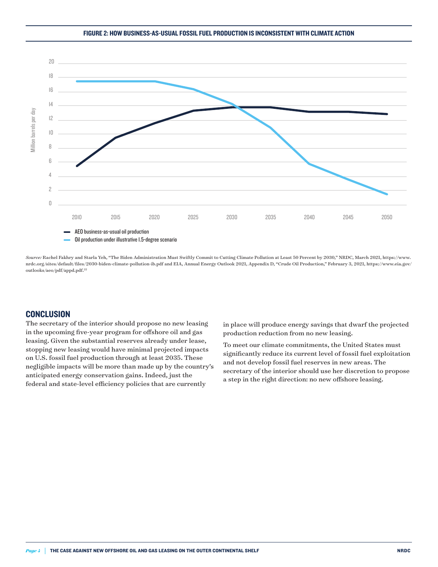#### FIGURE 2: HOW BUSINESS-AS-USUAL FOSSIL FUEL PRODUCTION IS INCONSISTENT WITH CLIMATE ACTION

<span id="page-3-0"></span>

*Source:* Rachel Fakhry and Starla Yeh, "The Biden Administration Must Swiftly Commit to Cutting Climate Pollution at Least 50 Percent by 2030," NRDC, March 2021, [https://www.](https://www.nrdc.org/sites/default/files/2030-biden-climate-pollution-ib.pdf) [nrdc.org/sites/default/files/2030-biden-climate-pollution-ib.pdf](https://www.nrdc.org/sites/default/files/2030-biden-climate-pollution-ib.pdf) and EIA, Annual Energy Outlook 2021, Appendix D, "Crude Oil Production," February 3, 2021, [https://www.eia.gov/](https://www.eia.gov/outlooks/aeo/pdf/appd.pdf) [outlooks/aeo/pdf/appd.pdf.](https://www.eia.gov/outlooks/aeo/pdf/appd.pdf) [22](#page-4-0)

### **CONCLUSION**

The secretary of the interior should propose no new leasing in the upcoming five-year program for offshore oil and gas leasing. Given the substantial reserves already under lease, stopping new leasing would have minimal projected impacts on U.S. fossil fuel production through at least 2035. These negligible impacts will be more than made up by the country's anticipated energy conservation gains. Indeed, just the federal and state-level efficiency policies that are currently

in place will produce energy savings that dwarf the projected production reduction from no new leasing.

To meet our climate commitments, the United States must significantly reduce its current level of fossil fuel exploitation and not develop fossil fuel reserves in new areas. The secretary of the interior should use her discretion to propose a step in the right direction: no new offshore leasing.